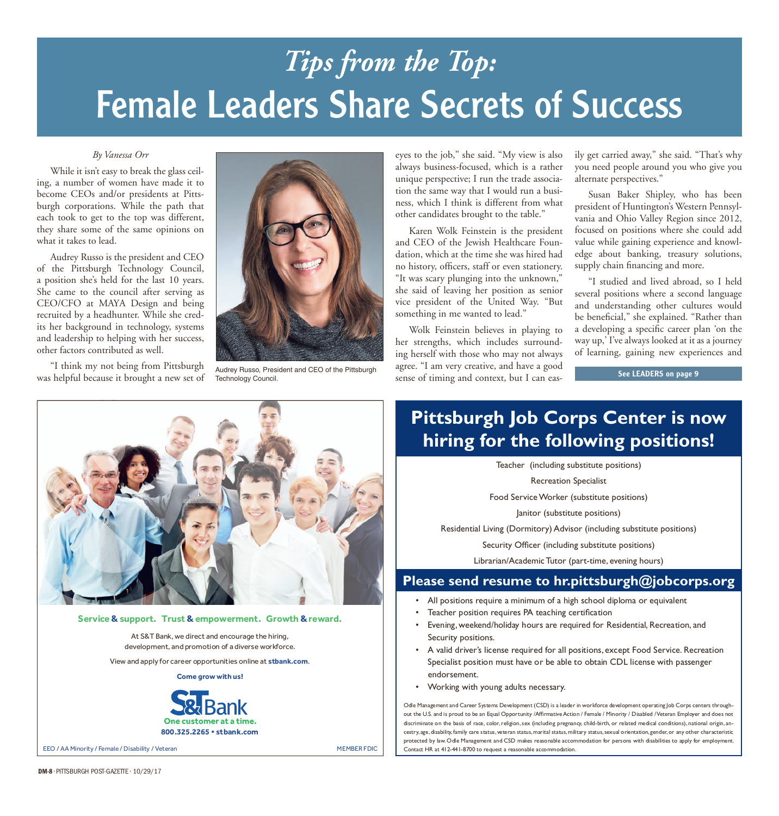# Female Leaders Share Secrets of Success *Tips from the Top:*

#### *By Vanessa Orr*

While it isn't easy to break the glass ceiling, a number of women have made it to become CEOs and/or presidents at Pittsburgh corporations. While the path that each took to get to the top was different, they share some of the same opinions on what it takes to lead.

Audrey Russo is the president and CEO of the Pittsburgh Technology Council, a position she's held for the last 10 years. She came to the council after serving as CEO/CFO at MAYA Design and being recruited by a headhunter. While she credits her background in technology, systems and leadership to helping with her success, other factors contributed as well.

"I think my not being from Pittsburgh was helpful because it brought a new set of



Audrey Russo, President and CEO of the Pittsburgh

eyes to the job," she said. "My view is also always business-focused, which is a rather unique perspective; I run the trade association the same way that I would run a business, which I think is different from what other candidates brought to the table."

Karen Wolk Feinstein is the president and CEO of the Jewish Healthcare Foundation, which at the time she was hired had no history, officers, staff or even stationery. "It was scary plunging into the unknown," she said of leaving her position as senior vice president of the United Way. "But something in me wanted to lead."

Wolk Feinstein believes in playing to her strengths, which includes surrounding herself with those who may not always agree. "I am very creative, and have a good Examples the sense of timing and context, but I can eas-<br>Technology Council. See LEADERS on page 9

ily get carried away," she said. "That's why you need people around you who give you alternate perspectives."

Susan Baker Shipley, who has been president of Huntington's Western Pennsylvania and Ohio Valley Region since 2012, focused on positions where she could add value while gaining experience and knowledge about banking, treasury solutions, supply chain financing and more.

"I studied and lived abroad, so I held several positions where a second language and understanding other cultures would be beneficial," she explained. "Rather than a developing a specific career plan 'on the way up,' I've always looked at it as a journey of learning, gaining new experiences and

## **Pittsburgh Job Corps Center is now hiring for the following positions!**

Teacher (including substitute positions)

Recreation Specialist

Food Service Worker (substitute positions)

Janitor (substitute positions)

Residential Living (Dormitory) Advisor (including substitute positions)

Security Officer (including substitute positions)

Librarian/Academic Tutor (part-time, evening hours)

#### **Please send resume to hr.pittsburgh@jobcorps.org**

- All positions require a minimum of a high school diploma or equivalent
- Teacher position requires PA teaching certification
- Evening, weekend/holiday hours are required for Residential, Recreation, and Security positions.
- A valid driver's license required for all positions, except Food Service. Recreation Specialist position must have or be able to obtain CDL license with passenger endorsement.
- Working with young adults necessary.

Odle Management and Career Systems Development (CSD) is a leader in workforce development operating lob Corps centers throughout the U.S. and is proud to be an Equal Opportunity /Affirmative Action / Female / Minority / Disabled / Veteran Employer and does not discriminate on the basis of race, color, religion, sex (including pregnancy, child-birth, or related medical conditions), national origin, ancestry, age, disability, family care status, veteran status, marital status, military status, sexual orientation, gender, or any other characteristic protected by law. Odle Management and CSD makes reasonable accommodation for persons with disabilities to apply for employment. Contact HR at 412-441-8700 to request a reasonable accommodation.



#### Service & support. Trust & empowerment. Growth & reward.

At S&T Bank, we direct and encourage the hiring, development, and promotion of a diverse workforce.

View and apply for career opportunities online at **stbank.com**.

**Come grow with us!** 



EEO / AA Minority / Female / Disability / Veteran

MEMBER FDIC